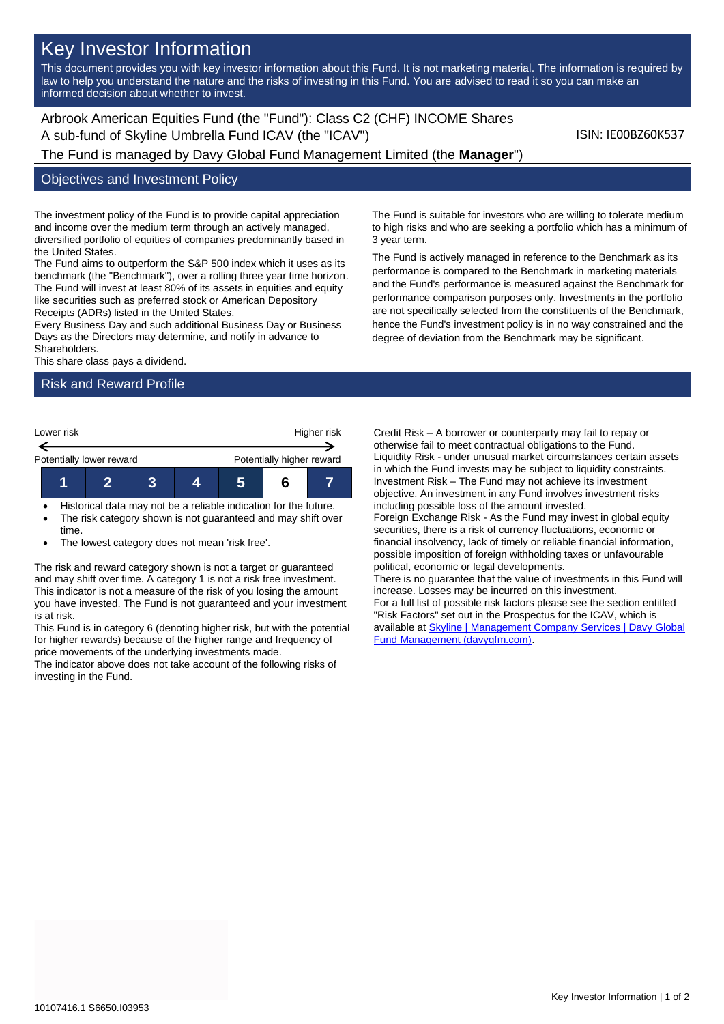# Key Investor Information

This document provides you with key investor information about this Fund. It is not marketing material. The information is required by law to help you understand the nature and the risks of investing in this Fund. You are advised to read it so you can make an informed decision about whether to invest.

Arbrook American Equities Fund (the "Fund"): Class C2 (CHF) INCOME Shares A sub-fund of Skyline Umbrella Fund ICAV (the "ICAV") Sub-fund 1SIN: IE00BZ60K537

The Fund is managed by Davy Global Fund Management Limited (the **Manager**")

#### Objectives and Investment Policy

The investment policy of the Fund is to provide capital appreciation and income over the medium term through an actively managed, diversified portfolio of equities of companies predominantly based in the United States.

The Fund aims to outperform the S&P 500 index which it uses as its benchmark (the "Benchmark"), over a rolling three year time horizon. The Fund will invest at least 80% of its assets in equities and equity like securities such as preferred stock or American Depository Receipts (ADRs) listed in the United States.

Every Business Day and such additional Business Day or Business Days as the Directors may determine, and notify in advance to Shareholders.

This share class pays a dividend.

## Risk and Reward Profile



- Historical data may not be a reliable indication for the future.
- The risk category shown is not guaranteed and may shift over time.
- The lowest category does not mean 'risk free'.

The risk and reward category shown is not a target or guaranteed and may shift over time. A category 1 is not a risk free investment. This indicator is not a measure of the risk of you losing the amount you have invested. The Fund is not guaranteed and your investment is at risk.

This Fund is in category 6 (denoting higher risk, but with the potential for higher rewards) because of the higher range and frequency of price movements of the underlying investments made.

The indicator above does not take account of the following risks of investing in the Fund.

The Fund is suitable for investors who are willing to tolerate medium to high risks and who are seeking a portfolio which has a minimum of 3 year term.

The Fund is actively managed in reference to the Benchmark as its performance is compared to the Benchmark in marketing materials and the Fund's performance is measured against the Benchmark for performance comparison purposes only. Investments in the portfolio are not specifically selected from the constituents of the Benchmark, hence the Fund's investment policy is in no way constrained and the degree of deviation from the Benchmark may be significant.

Credit Risk – A borrower or counterparty may fail to repay or otherwise fail to meet contractual obligations to the Fund. Liquidity Risk - under unusual market circumstances certain assets in which the Fund invests may be subject to liquidity constraints. Investment Risk – The Fund may not achieve its investment objective. An investment in any Fund involves investment risks including possible loss of the amount invested. Foreign Exchange Risk - As the Fund may invest in global equity securities, there is a risk of currency fluctuations, economic or financial insolvency, lack of timely or reliable financial information, possible imposition of foreign withholding taxes or unfavourable political, economic or legal developments. There is no guarantee that the value of investments in this Fund will increase. Losses may be incurred on this investment. For a full list of possible risk factors please see the section entitled "Risk Factors" set out in the Prospectus for the ICAV, which is available at [Skyline | Management Company Services | Davy Global](https://www.davygfm.com/funds-factsheets/management-company-services/ireland/skyline.html)  [Fund Management \(davygfm.com\).](https://www.davygfm.com/funds-factsheets/management-company-services/ireland/skyline.html)